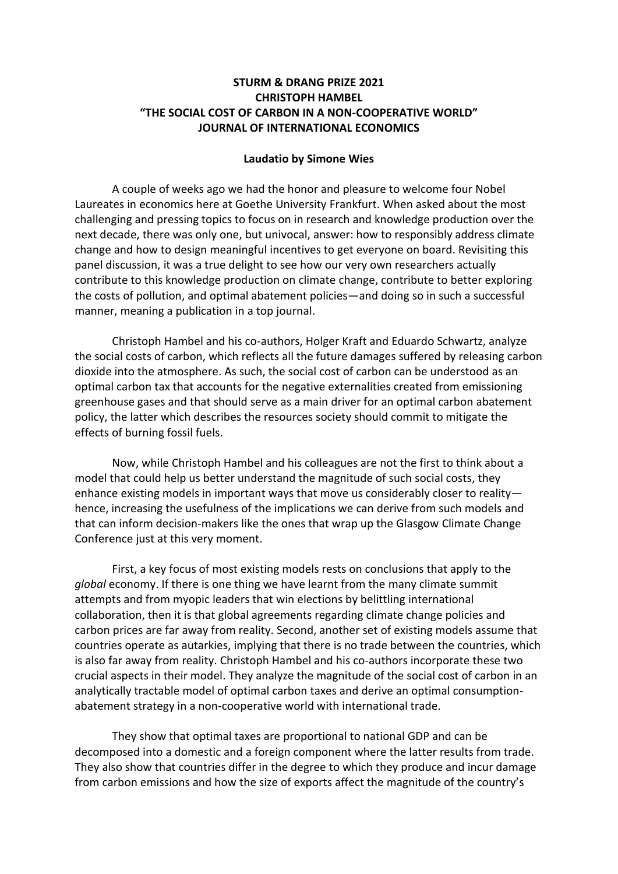## **STURM & DRANG PRIZE 2021 CHRISTOPH HAMBEL "THE SOCIAL COST OF CARBON IN A NON-COOPERATIVE WORLD" JOURNAL OF INTERNATIONAL ECONOMICS**

## **Laudatio by Simone Wies**

A couple of weeks ago we had the honor and pleasure to welcome four Nobel Laureates in economics here at Goethe University Frankfurt. When asked about the most challenging and pressing topics to focus on in research and knowledge production over the next decade, there was only one, but univocal, answer: how to responsibly address climate change and how to design meaningful incentives to get everyone on board. Revisiting this panel discussion, it was a true delight to see how our very own researchers actually contribute to this knowledge production on climate change, contribute to better exploring the costs of pollution, and optimal abatement policies—and doing so in such a successful manner, meaning a publication in a top journal.

Christoph Hambel and his co-authors, Holger Kraft and Eduardo Schwartz, analyze the social costs of carbon, which reflects all the future damages suffered by releasing carbon dioxide into the atmosphere. As such, the social cost of carbon can be understood as an optimal carbon tax that accounts for the negative externalities created from emissioning greenhouse gases and that should serve as a main driver for an optimal carbon abatement policy, the latter which describes the resources society should commit to mitigate the effects of burning fossil fuels.

Now, while Christoph Hambel and his colleagues are not the first to think about a model that could help us better understand the magnitude of such social costs, they enhance existing models in important ways that move us considerably closer to reality hence, increasing the usefulness of the implications we can derive from such models and that can inform decision-makers like the ones that wrap up the Glasgow Climate Change Conference just at this very moment.

First, a key focus of most existing models rests on conclusions that apply to the *global* economy. If there is one thing we have learnt from the many climate summit attempts and from myopic leaders that win elections by belittling international collaboration, then it is that global agreements regarding climate change policies and carbon prices are far away from reality. Second, another set of existing models assume that countries operate as autarkies, implying that there is no trade between the countries, which is also far away from reality. Christoph Hambel and his co-authors incorporate these two crucial aspects in their model. They analyze the magnitude of the social cost of carbon in an analytically tractable model of optimal carbon taxes and derive an optimal consumptionabatement strategy in a non-cooperative world with international trade.

They show that optimal taxes are proportional to national GDP and can be decomposed into a domestic and a foreign component where the latter results from trade. They also show that countries differ in the degree to which they produce and incur damage from carbon emissions and how the size of exports affect the magnitude of the country's